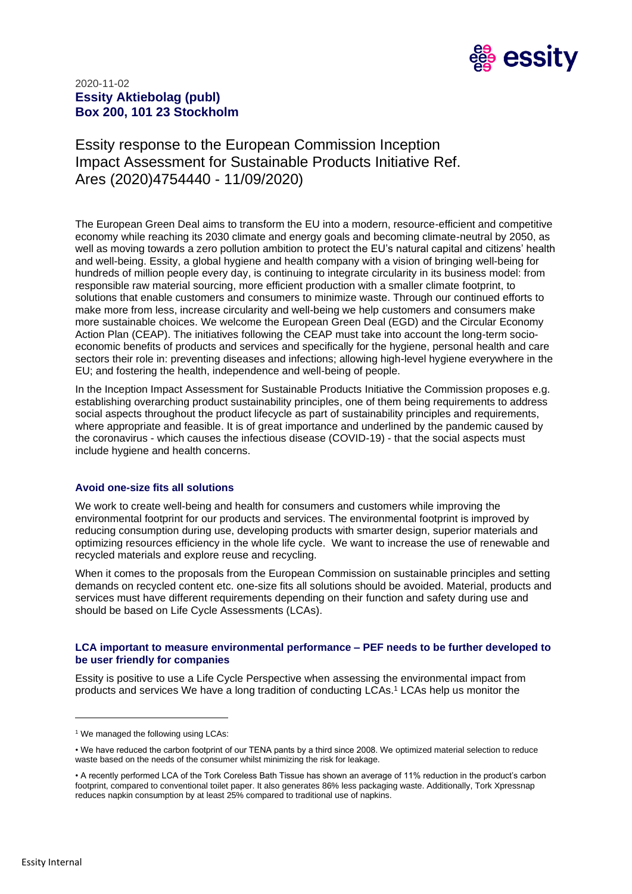

# 2020-11-02 **Essity Aktiebolag (publ) Box 200, 101 23 Stockholm**

Essity response to the European Commission Inception Impact Assessment for Sustainable Products Initiative Ref. Ares (2020)4754440 - 11/09/2020)

The European Green Deal aims to transform the EU into a modern, resource-efficient and competitive economy while reaching its 2030 climate and energy goals and becoming climate-neutral by 2050, as well as moving towards a zero pollution ambition to protect the EU's natural capital and citizens' health and well-being. Essity, a global hygiene and health company with a vision of bringing well-being for hundreds of million people every day, is continuing to integrate circularity in its business model: from responsible raw material sourcing, more efficient production with a smaller climate footprint, to solutions that enable customers and consumers to minimize waste. Through our continued efforts to make more from less, increase circularity and well-being we help customers and consumers make more sustainable choices. We welcome the European Green Deal (EGD) and the Circular Economy Action Plan (CEAP). The initiatives following the CEAP must take into account the long-term socioeconomic benefits of products and services and specifically for the hygiene, personal health and care sectors their role in: preventing diseases and infections; allowing high-level hygiene everywhere in the EU; and fostering the health, independence and well-being of people.

In the Inception Impact Assessment for Sustainable Products Initiative the Commission proposes e.g. establishing overarching product sustainability principles, one of them being requirements to address social aspects throughout the product lifecycle as part of sustainability principles and requirements, where appropriate and feasible. It is of great importance and underlined by the pandemic caused by the coronavirus - which causes the infectious disease (COVID-19) - that the social aspects must include hygiene and health concerns.

## **Avoid one-size fits all solutions**

We work to create well-being and health for consumers and customers while improving the environmental footprint for our products and services. The environmental footprint is improved by reducing consumption during use, developing products with smarter design, superior materials and optimizing resources efficiency in the whole life cycle. We want to increase the use of renewable and recycled materials and explore reuse and recycling.

When it comes to the proposals from the European Commission on sustainable principles and setting demands on recycled content etc. one-size fits all solutions should be avoided. Material, products and services must have different requirements depending on their function and safety during use and should be based on Life Cycle Assessments (LCAs).

#### **LCA important to measure environmental performance – PEF needs to be further developed to be user friendly for companies**

Essity is positive to use a Life Cycle Perspective when assessing the environmental impact from products and services We have a long tradition of conducting LCAs. <sup>1</sup> LCAs help us monitor the

<sup>&</sup>lt;sup>1</sup> We managed the following using LCAs:

<sup>•</sup> We have reduced the carbon footprint of our TENA pants by a third since 2008. We optimized material selection to reduce waste based on the needs of the consumer whilst minimizing the risk for leakage.

<sup>•</sup> A recently performed LCA of the Tork Coreless Bath Tissue has shown an average of 11% reduction in the product's carbon footprint, compared to conventional toilet paper. It also generates 86% less packaging waste. Additionally, Tork Xpressnap reduces napkin consumption by at least 25% compared to traditional use of napkins.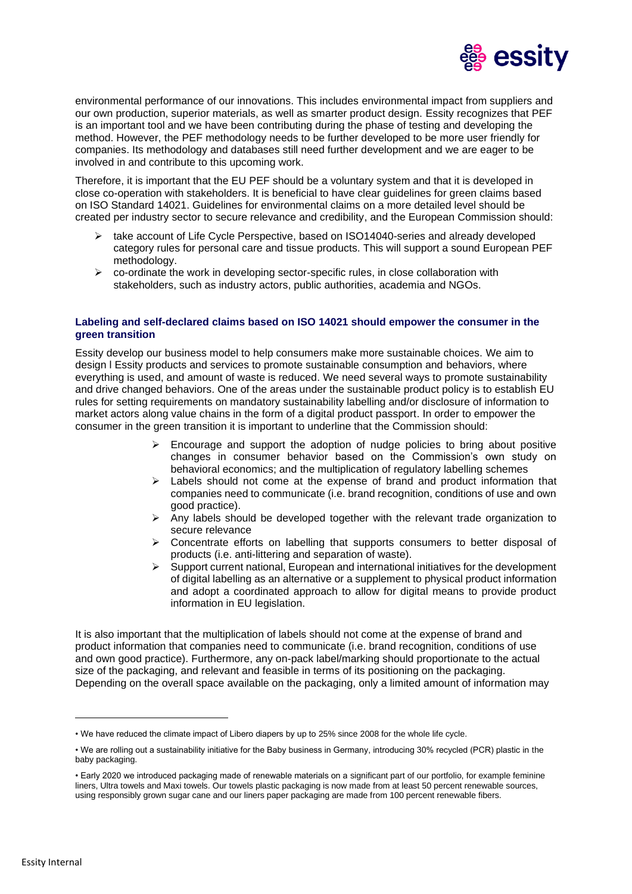

environmental performance of our innovations. This includes environmental impact from suppliers and our own production, superior materials, as well as smarter product design. Essity recognizes that PEF is an important tool and we have been contributing during the phase of testing and developing the method. However, the PEF methodology needs to be further developed to be more user friendly for companies. Its methodology and databases still need further development and we are eager to be involved in and contribute to this upcoming work.

Therefore, it is important that the EU PEF should be a voluntary system and that it is developed in close co-operation with stakeholders. It is beneficial to have clear guidelines for green claims based on ISO Standard 14021. Guidelines for environmental claims on a more detailed level should be created per industry sector to secure relevance and credibility, and the European Commission should:

- take account of Life Cycle Perspective, based on ISO14040-series and already developed category rules for personal care and tissue products. This will support a sound European PEF methodology.
- $\triangleright$  co-ordinate the work in developing sector-specific rules, in close collaboration with stakeholders, such as industry actors, public authorities, academia and NGOs.

### **Labeling and self-declared claims based on ISO 14021 should empower the consumer in the green transition**

Essity develop our business model to help consumers make more sustainable choices. We aim to design l Essity products and services to promote sustainable consumption and behaviors, where everything is used, and amount of waste is reduced. We need several ways to promote sustainability and drive changed behaviors. One of the areas under the sustainable product policy is to establish EU rules for setting requirements on mandatory sustainability labelling and/or disclosure of information to market actors along value chains in the form of a digital product passport. In order to empower the consumer in the green transition it is important to underline that the Commission should:

- $\triangleright$  Encourage and support the adoption of nudge policies to bring about positive changes in consumer behavior based on the Commission's own study on behavioral economics; and the multiplication of regulatory labelling schemes
- $\triangleright$  Labels should not come at the expense of brand and product information that companies need to communicate (i.e. brand recognition, conditions of use and own good practice).
- $\triangleright$  Any labels should be developed together with the relevant trade organization to secure relevance
- $\triangleright$  Concentrate efforts on labelling that supports consumers to better disposal of products (i.e. anti-littering and separation of waste).
- $\triangleright$  Support current national, European and international initiatives for the development of digital labelling as an alternative or a supplement to physical product information and adopt a coordinated approach to allow for digital means to provide product information in EU legislation.

It is also important that the multiplication of labels should not come at the expense of brand and product information that companies need to communicate (i.e. brand recognition, conditions of use and own good practice). Furthermore, any on-pack label/marking should proportionate to the actual size of the packaging, and relevant and feasible in terms of its positioning on the packaging. Depending on the overall space available on the packaging, only a limited amount of information may

<sup>•</sup> We have reduced the climate impact of Libero diapers by up to 25% since 2008 for the whole life cycle.

<sup>•</sup> We are rolling out a sustainability initiative for the Baby business in Germany, introducing 30% recycled (PCR) plastic in the baby packaging.

<sup>•</sup> Early 2020 we introduced packaging made of renewable materials on a significant part of our portfolio, for example feminine liners, Ultra towels and Maxi towels. Our towels plastic packaging is now made from at least 50 percent renewable sources, using responsibly grown sugar cane and our liners paper packaging are made from 100 percent renewable fibers.